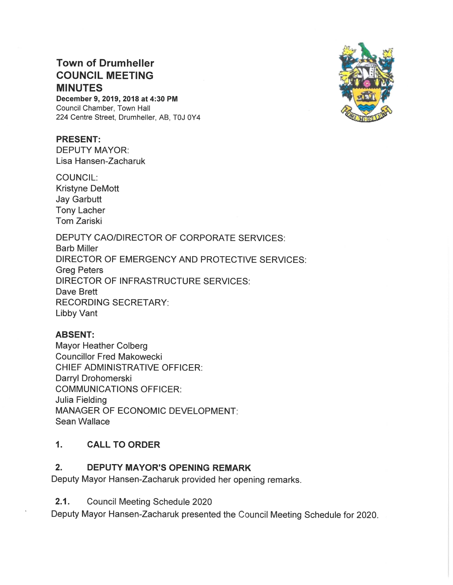# Town of Drumheller COUNCIL MEETING MINUTES

December 9, 2019, 2018 at 4:30 PM Council Chamber, Town Hall 224 Centre Street, Drumheller, AB, TOJ OY4

#### PRESENT:

DEPUTY MAYOR: Lisa Hansen—Zacharuk

COUNCIL: Kristyne DeMott Jay Garbutt Tony Lacher Tom Zariski

DEPUTY CAO/DIRECTOR OF CORPORATE SERVICES: Barb Miller DIRECTOR OF EMERGENCY AND PROTECTIVE SERVICES: Greg Peters DIRECTOR OF INFRASTRUCTURE SERVICES: Dave Brett RECORDING SECRETARY: Libby Vant

#### ABSENT:

Mayor Heather Colberg Councillor Fred Makowecki CHIEF ADMINISTRATIVE OFFICER: Darryl Drohomerski COMMUNICATIONS OFFICER: Julia Fielding MANAGER OF ECONOMIC DEVELOPMENT Sean Wallace

#### 1. CALL TO ORDER

## 2. DEPUTY MAYOR'S OPENING REMARK

Deputy Mayor Hansen-Zacharuk provided her opening remarks.

2.1. Council Meeting Schedule 2020

Deputy Mayor Hansen-Zacharuk presented the Council Meeting Schedule for 2020.

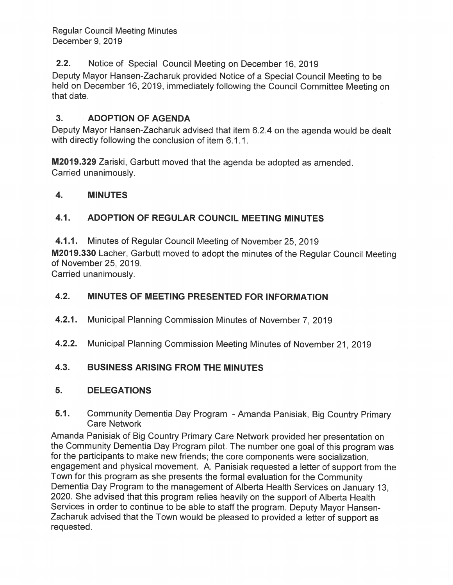Regular Council Meeting Minutes December 9, 2019

### **2.2.** Notice of Special Council Meeting on December 16, 2019

Deputy Mayor Hansen-Zacharuk provided Notice of a Special Council Meeting to be held on December 16, 2019, immediately following the Council Committee Meeting on that date.

### 3. ADOPTION OF AGENDA

Deputy Mayor Hansen-Zacharuk advised that item 6.2.4 on the agenda would be dealt with directly following the conclusion of item 6.1.1.

M2019.329 Zariski, Garbutt moved that the agenda be adopted as amended. Carried unanimously.

### '24 4. MINUTES

### 4.1. ADOPTION OF REGULAR COUNCIL MEETING MINUTES

4.1.1. Minutes of Regular Council Meeting of November 25, 2019

M2019.330 Lacher, Garbutt moved to adopt the minutes of the Regular Council Meeting of November 25, 2019.

Carried unanimously.

### 4.2. MINUTES OF MEETING PRESENTED FOR INFORMATON

- 4.2.1. Municipal Planning Commission Minutes of November 7, 2019
- 4.2.2. Municipal Planning Commission Meeting Minutes of November 21, 2019

### 4.3. BUSINESS ARISING FROM THE MINUTES

### 5. DELEGATIONS

5.1. Community Dementia Day Program - Amanda Panisiak, Big Country Primary Care Network

Amanda Panisiak of Big Country Primary Care Network provided her presentation on b the Community Dementia Day Program pilot. The number one goal of this program was for the participants to make new friends; the core components were socialization, engagement and physical movement. A. Panisiak requested a letter of support from the Town for this program as she presents the formal evaluation for the Community Dementia Day Program to the management of Alberta Health Services on January 13, 2020. She advised that this program relies heavily on the support of Alberta Health Services in order to continue to be able to staff the program. Deputy Mayor Hansen-Zacharuk advised that the Town would be pleased to provided a letter of support as requested.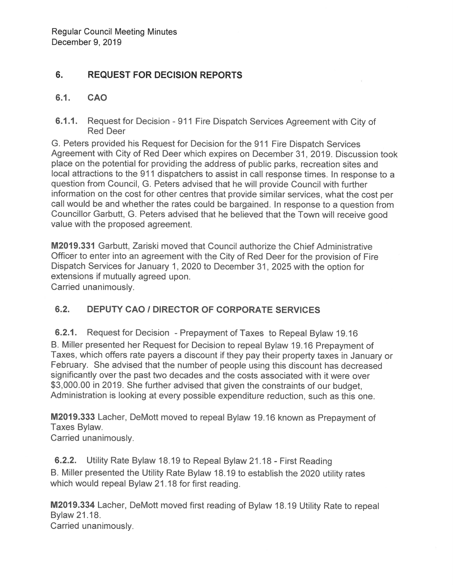#### 6. **REQUEST FOR DECISION REPORTS**

#### $6.1.$ **CAO**

6.1.1. Request for Decision - 911 Fire Dispatch Services Agreement with City of **Red Deer** 

G. Peters provided his Request for Decision for the 911 Fire Dispatch Services Agreement with City of Red Deer which expires on December 31, 2019. Discussion took place on the potential for providing the address of public parks, recreation sites and local attractions to the 911 dispatchers to assist in call response times. In response to a question from Council, G. Peters advised that he will provide Council with further information on the cost for other centres that provide similar services, what the cost per call would be and whether the rates could be bargained. In response to a question from Councillor Garbutt, G. Peters advised that he believed that the Town will receive good value with the proposed agreement.

M2019.331 Garbutt, Zariski moved that Council authorize the Chief Administrative Officer to enter into an agreement with the City of Red Deer for the provision of Fire Dispatch Services for January 1, 2020 to December 31, 2025 with the option for extensions if mutually agreed upon. Carried unanimously.

#### $6.2.$ **DEPUTY CAO / DIRECTOR OF CORPORATE SERVICES**

6.2.1. Request for Decision - Prepayment of Taxes to Repeal Bylaw 19.16 B. Miller presented her Request for Decision to repeal Bylaw 19.16 Prepayment of Taxes, which offers rate payers a discount if they pay their property taxes in January or February. She advised that the number of people using this discount has decreased significantly over the past two decades and the costs associated with it were over \$3,000.00 in 2019. She further advised that given the constraints of our budget. Administration is looking at every possible expenditure reduction, such as this one.

M2019.333 Lacher, DeMott moved to repeal Bylaw 19.16 known as Prepayment of Taxes Bylaw.

Carried unanimously.

6.2.2. Utility Rate Bylaw 18.19 to Repeal Bylaw 21.18 - First Reading B. Miller presented the Utility Rate Bylaw 18.19 to establish the 2020 utility rates which would repeal Bylaw 21.18 for first reading.

M2019.334 Lacher, DeMott moved first reading of Bylaw 18.19 Utility Rate to repeal Bylaw 21.18. Carried unanimously.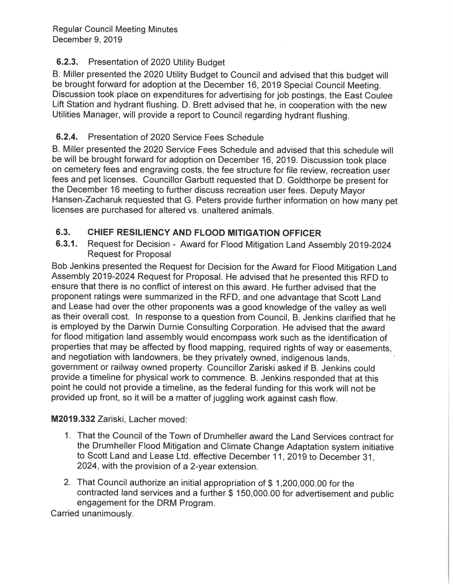# 6.2.3. Presentation of 2020 Utility Budget

B. Miller presented the 2020 Utility Budget to Council and advised that this budget will be brought forward for adoption at the December 16, 2019 Special Council Meeting. Discussion took place on expenditures for advertising for job postings, the East Coulee Lift Station and hydrant flushing. D. Brett advised that he, in cooperation with the new Utilities Manager, will provide a report to Council regarding hydrant flushing.

# 6.2.4. Presentation of 2020 Service Fees Schedule

B. Miller presented the 2020 Service Fees Schedule and advised that this schedule will be will be brought forward for adoption on December 16, 2019. Discussion took place on cemetery fees and engraving costs, the fee structure for file review, recreation user fees and pet licenses. Councillor Garbutt requested that D. Goldthorpe be present for the December 16 meeting to further discuss recreation user fees. Deputy Mayor Hansen-Zacharuk requested that G. Peters provide further information on how many pet licenses are purchased for altered vs. unaltered animals.

#### $6.3.$ CHIEF RESILIENCY AND FLOOD MITIGATION OFFICER

Request for Decision - Award for Flood Mitigation Land Assembly 2019-2024  $6.3.1.$ **Request for Proposal** 

Bob Jenkins presented the Request for Decision for the Award for Flood Mitigation Land Assembly 2019-2024 Request for Proposal. He advised that he presented this RFD to ensure that there is no conflict of interest on this award. He further advised that the proponent ratings were summarized in the RFD, and one advantage that Scott Land and Lease had over the other proponents was a good knowledge of the valley as well as their overall cost. In response to a question from Council, B. Jenkins clarified that he is employed by the Darwin Durnie Consulting Corporation. He advised that the award for flood mitigation land assembly would encompass work such as the identification of properties that may be affected by flood mapping, required rights of way or easements, and negotiation with landowners, be they privately owned, indigenous lands, government or railway owned property. Councillor Zariski asked if B. Jenkins could provide a timeline for physical work to commence. B. Jenkins responded that at this point he could not provide a timeline, as the federal funding for this work will not be provided up front, so it will be a matter of juggling work against cash flow.

# M2019.332 Zariski, Lacher moved:

- 1. That the Council of the Town of Drumheller award the Land Services contract for the Drumheller Flood Mitigation and Climate Change Adaptation system initiative to Scott Land and Lease Ltd. effective December 11, 2019 to December 31, 2024, with the provision of a 2-year extension.
- 2. That Council authorize an initial appropriation of \$1,200,000.00 for the contracted land services and a further \$ 150,000.00 for advertisement and public engagement for the DRM Program.

Carried unanimously.